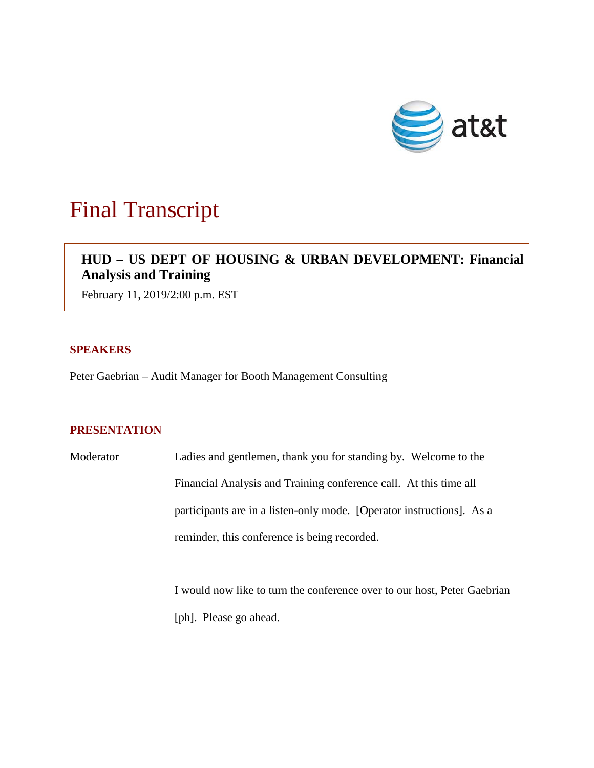

# Final Transcript

# **HUD – US DEPT OF HOUSING & URBAN DEVELOPMENT: Financial Analysis and Training**

February 11, 2019/2:00 p.m. EST

### **SPEAKERS**

Peter Gaebrian – Audit Manager for Booth Management Consulting

## **PRESENTATION**

Moderator Ladies and gentlemen, thank you for standing by. Welcome to the Financial Analysis and Training conference call. At this time all participants are in a listen-only mode. [Operator instructions]. As a reminder, this conference is being recorded.

> I would now like to turn the conference over to our host, Peter Gaebrian [ph]. Please go ahead.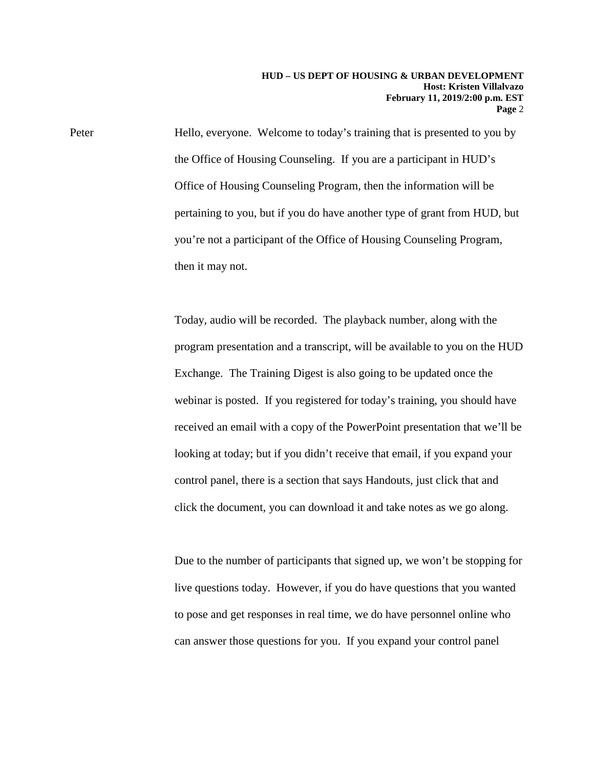Peter Hello, everyone. Welcome to today's training that is presented to you by the Office of Housing Counseling. If you are a participant in HUD's Office of Housing Counseling Program, then the information will be pertaining to you, but if you do have another type of grant from HUD, but you're not a participant of the Office of Housing Counseling Program, then it may not.

> Today, audio will be recorded. The playback number, along with the program presentation and a transcript, will be available to you on the HUD Exchange. The Training Digest is also going to be updated once the webinar is posted. If you registered for today's training, you should have received an email with a copy of the PowerPoint presentation that we'll be looking at today; but if you didn't receive that email, if you expand your control panel, there is a section that says Handouts, just click that and click the document, you can download it and take notes as we go along.

> Due to the number of participants that signed up, we won't be stopping for live questions today. However, if you do have questions that you wanted to pose and get responses in real time, we do have personnel online who can answer those questions for you. If you expand your control panel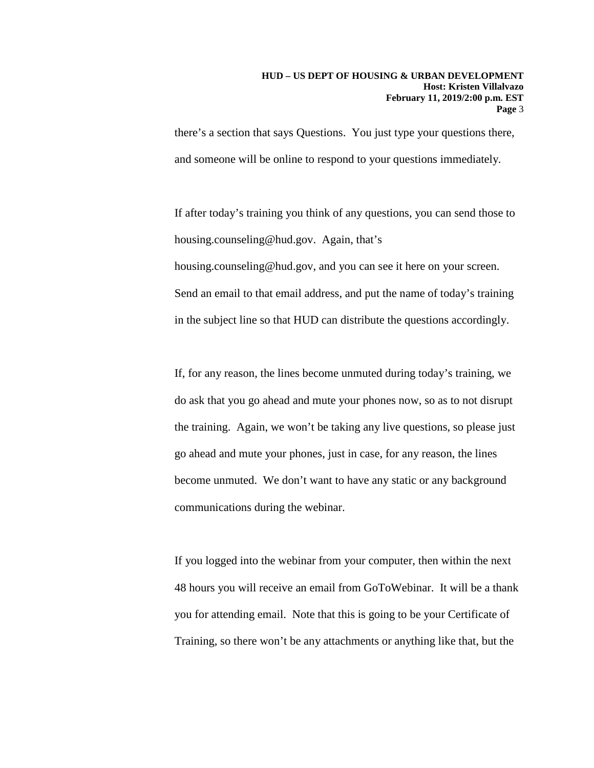there's a section that says Questions. You just type your questions there, and someone will be online to respond to your questions immediately.

If after today's training you think of any questions, you can send those to housing.counseling@hud.gov. Again, that's housing.counseling@hud.gov, and you can see it here on your screen. Send an email to that email address, and put the name of today's training in the subject line so that HUD can distribute the questions accordingly.

If, for any reason, the lines become unmuted during today's training, we do ask that you go ahead and mute your phones now, so as to not disrupt the training. Again, we won't be taking any live questions, so please just go ahead and mute your phones, just in case, for any reason, the lines become unmuted. We don't want to have any static or any background communications during the webinar.

If you logged into the webinar from your computer, then within the next 48 hours you will receive an email from GoToWebinar. It will be a thank you for attending email. Note that this is going to be your Certificate of Training, so there won't be any attachments or anything like that, but the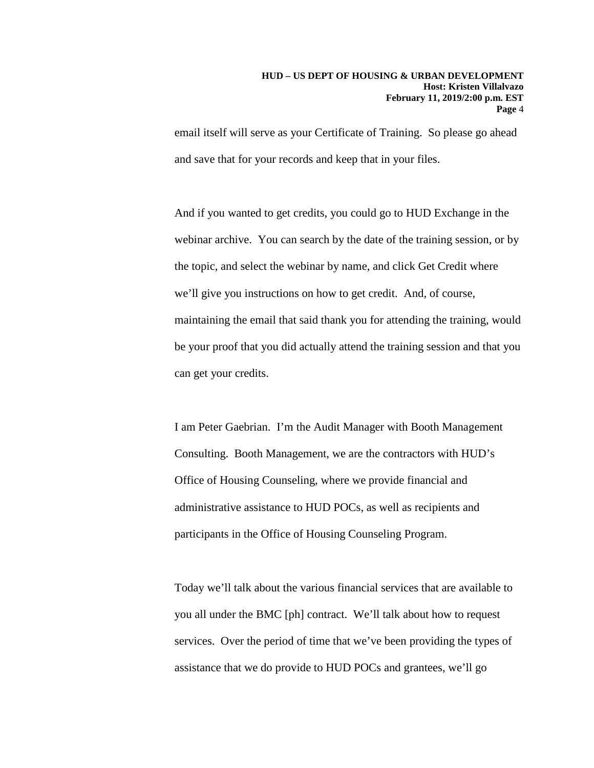email itself will serve as your Certificate of Training. So please go ahead and save that for your records and keep that in your files.

And if you wanted to get credits, you could go to HUD Exchange in the webinar archive. You can search by the date of the training session, or by the topic, and select the webinar by name, and click Get Credit where we'll give you instructions on how to get credit. And, of course, maintaining the email that said thank you for attending the training, would be your proof that you did actually attend the training session and that you can get your credits.

I am Peter Gaebrian. I'm the Audit Manager with Booth Management Consulting. Booth Management, we are the contractors with HUD's Office of Housing Counseling, where we provide financial and administrative assistance to HUD POCs, as well as recipients and participants in the Office of Housing Counseling Program.

Today we'll talk about the various financial services that are available to you all under the BMC [ph] contract. We'll talk about how to request services. Over the period of time that we've been providing the types of assistance that we do provide to HUD POCs and grantees, we'll go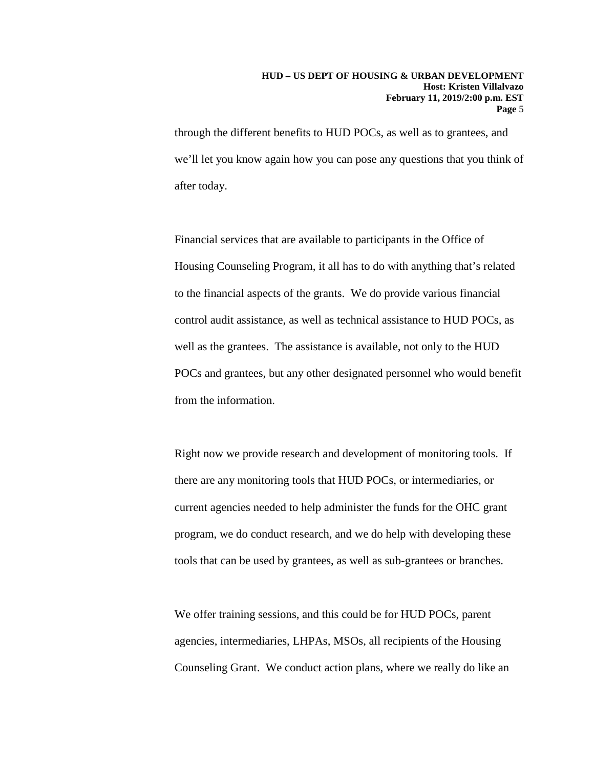through the different benefits to HUD POCs, as well as to grantees, and we'll let you know again how you can pose any questions that you think of after today.

Financial services that are available to participants in the Office of Housing Counseling Program, it all has to do with anything that's related to the financial aspects of the grants. We do provide various financial control audit assistance, as well as technical assistance to HUD POCs, as well as the grantees. The assistance is available, not only to the HUD POCs and grantees, but any other designated personnel who would benefit from the information.

Right now we provide research and development of monitoring tools. If there are any monitoring tools that HUD POCs, or intermediaries, or current agencies needed to help administer the funds for the OHC grant program, we do conduct research, and we do help with developing these tools that can be used by grantees, as well as sub-grantees or branches.

We offer training sessions, and this could be for HUD POCs, parent agencies, intermediaries, LHPAs, MSOs, all recipients of the Housing Counseling Grant. We conduct action plans, where we really do like an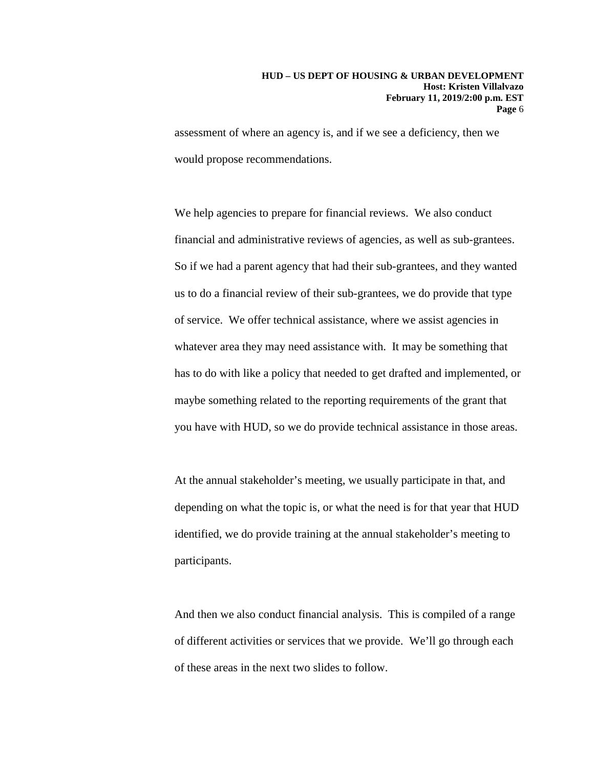assessment of where an agency is, and if we see a deficiency, then we would propose recommendations.

We help agencies to prepare for financial reviews. We also conduct financial and administrative reviews of agencies, as well as sub-grantees. So if we had a parent agency that had their sub-grantees, and they wanted us to do a financial review of their sub-grantees, we do provide that type of service. We offer technical assistance, where we assist agencies in whatever area they may need assistance with. It may be something that has to do with like a policy that needed to get drafted and implemented, or maybe something related to the reporting requirements of the grant that you have with HUD, so we do provide technical assistance in those areas.

At the annual stakeholder's meeting, we usually participate in that, and depending on what the topic is, or what the need is for that year that HUD identified, we do provide training at the annual stakeholder's meeting to participants.

And then we also conduct financial analysis. This is compiled of a range of different activities or services that we provide. We'll go through each of these areas in the next two slides to follow.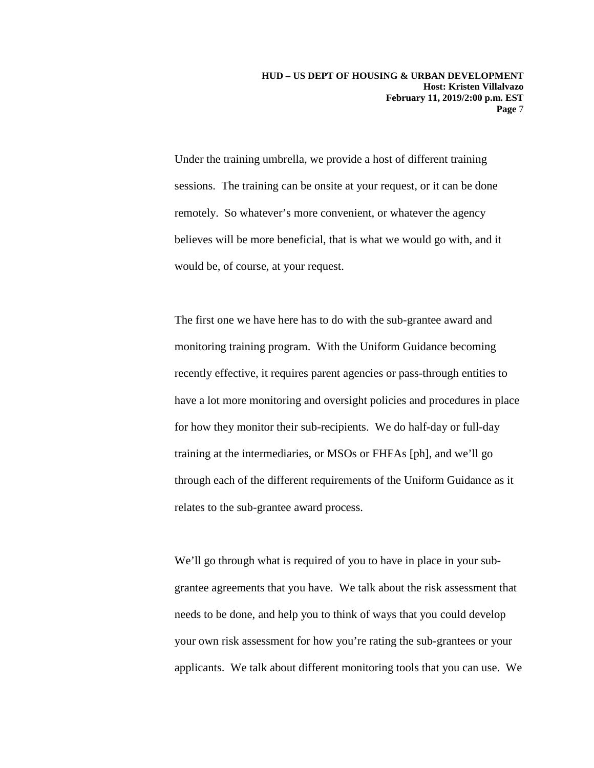Under the training umbrella, we provide a host of different training sessions. The training can be onsite at your request, or it can be done remotely. So whatever's more convenient, or whatever the agency believes will be more beneficial, that is what we would go with, and it would be, of course, at your request.

The first one we have here has to do with the sub-grantee award and monitoring training program. With the Uniform Guidance becoming recently effective, it requires parent agencies or pass-through entities to have a lot more monitoring and oversight policies and procedures in place for how they monitor their sub-recipients. We do half-day or full-day training at the intermediaries, or MSOs or FHFAs [ph], and we'll go through each of the different requirements of the Uniform Guidance as it relates to the sub-grantee award process.

We'll go through what is required of you to have in place in your subgrantee agreements that you have. We talk about the risk assessment that needs to be done, and help you to think of ways that you could develop your own risk assessment for how you're rating the sub-grantees or your applicants. We talk about different monitoring tools that you can use. We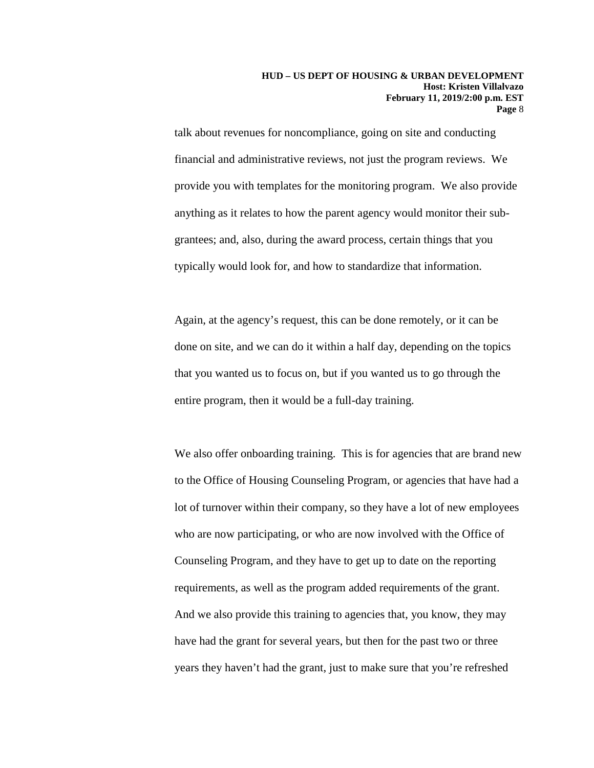talk about revenues for noncompliance, going on site and conducting financial and administrative reviews, not just the program reviews. We provide you with templates for the monitoring program. We also provide anything as it relates to how the parent agency would monitor their subgrantees; and, also, during the award process, certain things that you typically would look for, and how to standardize that information.

Again, at the agency's request, this can be done remotely, or it can be done on site, and we can do it within a half day, depending on the topics that you wanted us to focus on, but if you wanted us to go through the entire program, then it would be a full-day training.

We also offer onboarding training. This is for agencies that are brand new to the Office of Housing Counseling Program, or agencies that have had a lot of turnover within their company, so they have a lot of new employees who are now participating, or who are now involved with the Office of Counseling Program, and they have to get up to date on the reporting requirements, as well as the program added requirements of the grant. And we also provide this training to agencies that, you know, they may have had the grant for several years, but then for the past two or three years they haven't had the grant, just to make sure that you're refreshed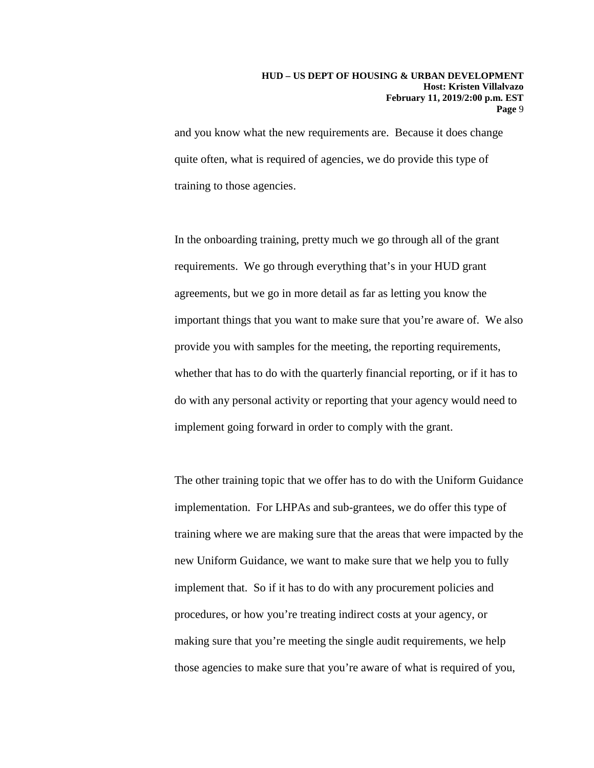and you know what the new requirements are. Because it does change quite often, what is required of agencies, we do provide this type of training to those agencies.

In the onboarding training, pretty much we go through all of the grant requirements. We go through everything that's in your HUD grant agreements, but we go in more detail as far as letting you know the important things that you want to make sure that you're aware of. We also provide you with samples for the meeting, the reporting requirements, whether that has to do with the quarterly financial reporting, or if it has to do with any personal activity or reporting that your agency would need to implement going forward in order to comply with the grant.

The other training topic that we offer has to do with the Uniform Guidance implementation. For LHPAs and sub-grantees, we do offer this type of training where we are making sure that the areas that were impacted by the new Uniform Guidance, we want to make sure that we help you to fully implement that. So if it has to do with any procurement policies and procedures, or how you're treating indirect costs at your agency, or making sure that you're meeting the single audit requirements, we help those agencies to make sure that you're aware of what is required of you,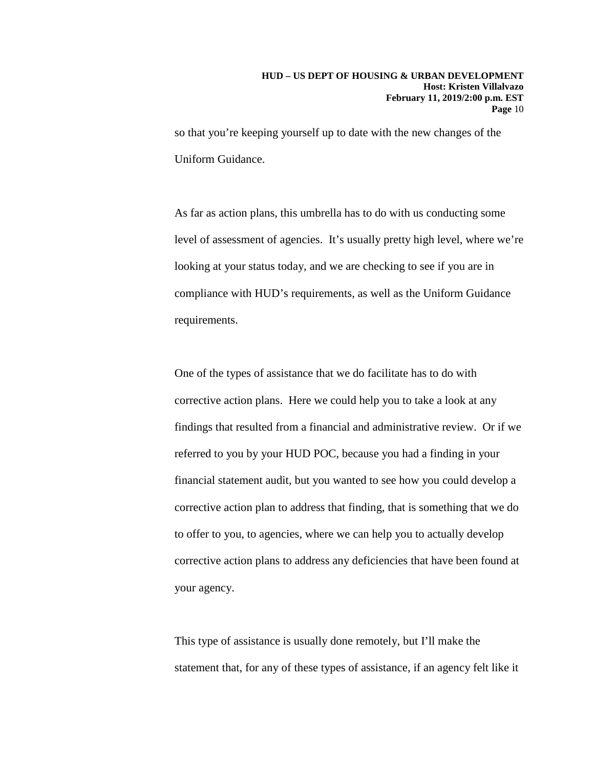so that you're keeping yourself up to date with the new changes of the Uniform Guidance.

As far as action plans, this umbrella has to do with us conducting some level of assessment of agencies. It's usually pretty high level, where we're looking at your status today, and we are checking to see if you are in compliance with HUD's requirements, as well as the Uniform Guidance requirements.

One of the types of assistance that we do facilitate has to do with corrective action plans. Here we could help you to take a look at any findings that resulted from a financial and administrative review. Or if we referred to you by your HUD POC, because you had a finding in your financial statement audit, but you wanted to see how you could develop a corrective action plan to address that finding, that is something that we do to offer to you, to agencies, where we can help you to actually develop corrective action plans to address any deficiencies that have been found at your agency.

This type of assistance is usually done remotely, but I'll make the statement that, for any of these types of assistance, if an agency felt like it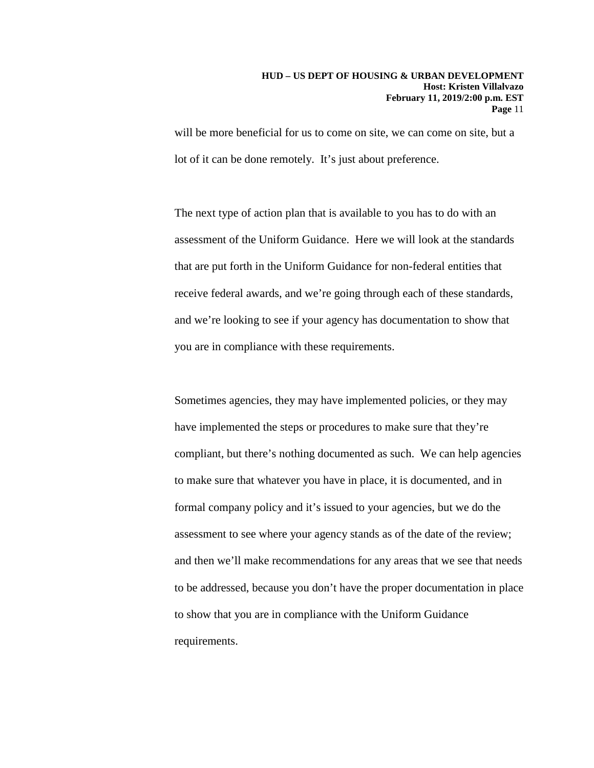will be more beneficial for us to come on site, we can come on site, but a lot of it can be done remotely. It's just about preference.

The next type of action plan that is available to you has to do with an assessment of the Uniform Guidance. Here we will look at the standards that are put forth in the Uniform Guidance for non-federal entities that receive federal awards, and we're going through each of these standards, and we're looking to see if your agency has documentation to show that you are in compliance with these requirements.

Sometimes agencies, they may have implemented policies, or they may have implemented the steps or procedures to make sure that they're compliant, but there's nothing documented as such. We can help agencies to make sure that whatever you have in place, it is documented, and in formal company policy and it's issued to your agencies, but we do the assessment to see where your agency stands as of the date of the review; and then we'll make recommendations for any areas that we see that needs to be addressed, because you don't have the proper documentation in place to show that you are in compliance with the Uniform Guidance requirements.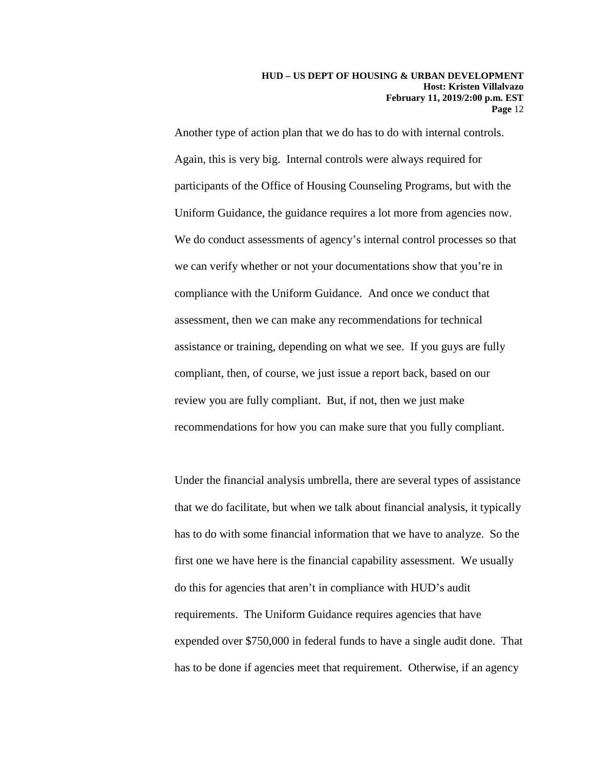Another type of action plan that we do has to do with internal controls. Again, this is very big. Internal controls were always required for participants of the Office of Housing Counseling Programs, but with the Uniform Guidance, the guidance requires a lot more from agencies now. We do conduct assessments of agency's internal control processes so that we can verify whether or not your documentations show that you're in compliance with the Uniform Guidance. And once we conduct that assessment, then we can make any recommendations for technical assistance or training, depending on what we see. If you guys are fully compliant, then, of course, we just issue a report back, based on our review you are fully compliant. But, if not, then we just make recommendations for how you can make sure that you fully compliant.

Under the financial analysis umbrella, there are several types of assistance that we do facilitate, but when we talk about financial analysis, it typically has to do with some financial information that we have to analyze. So the first one we have here is the financial capability assessment. We usually do this for agencies that aren't in compliance with HUD's audit requirements. The Uniform Guidance requires agencies that have expended over \$750,000 in federal funds to have a single audit done. That has to be done if agencies meet that requirement. Otherwise, if an agency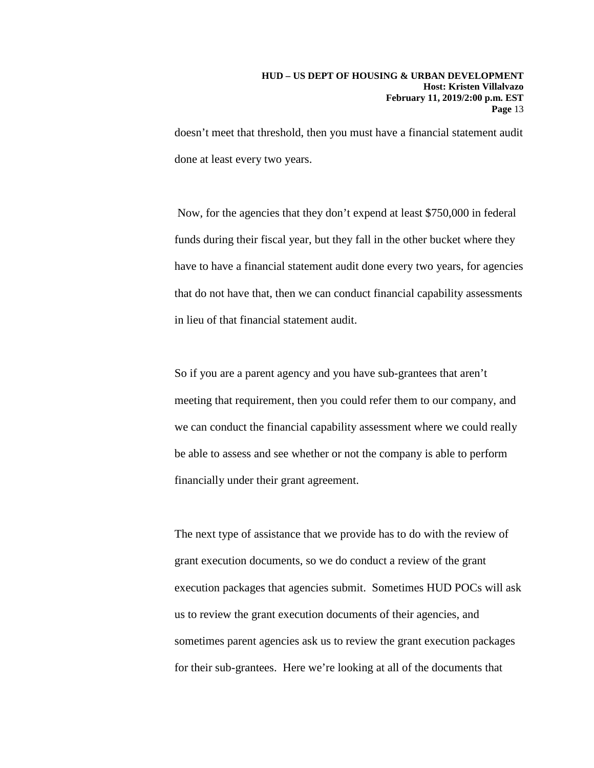doesn't meet that threshold, then you must have a financial statement audit done at least every two years.

Now, for the agencies that they don't expend at least \$750,000 in federal funds during their fiscal year, but they fall in the other bucket where they have to have a financial statement audit done every two years, for agencies that do not have that, then we can conduct financial capability assessments in lieu of that financial statement audit.

So if you are a parent agency and you have sub-grantees that aren't meeting that requirement, then you could refer them to our company, and we can conduct the financial capability assessment where we could really be able to assess and see whether or not the company is able to perform financially under their grant agreement.

The next type of assistance that we provide has to do with the review of grant execution documents, so we do conduct a review of the grant execution packages that agencies submit. Sometimes HUD POCs will ask us to review the grant execution documents of their agencies, and sometimes parent agencies ask us to review the grant execution packages for their sub-grantees. Here we're looking at all of the documents that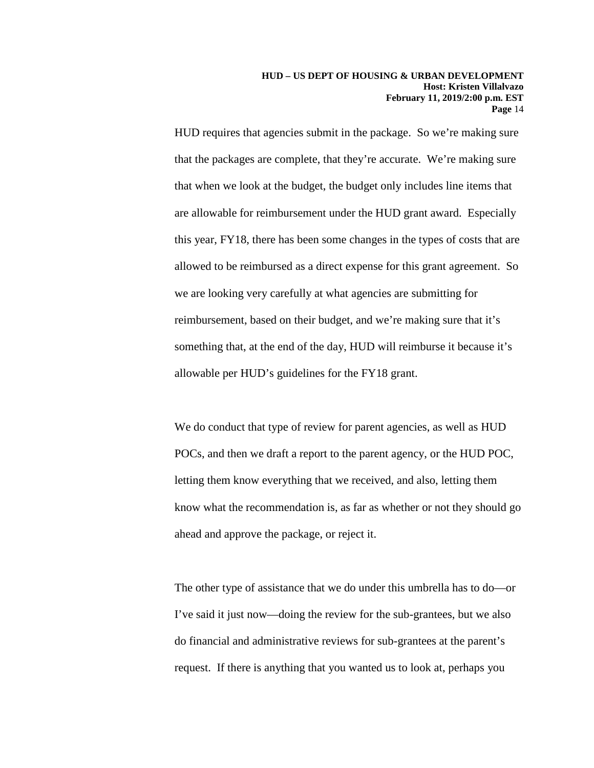HUD requires that agencies submit in the package. So we're making sure that the packages are complete, that they're accurate. We're making sure that when we look at the budget, the budget only includes line items that are allowable for reimbursement under the HUD grant award. Especially this year, FY18, there has been some changes in the types of costs that are allowed to be reimbursed as a direct expense for this grant agreement. So we are looking very carefully at what agencies are submitting for reimbursement, based on their budget, and we're making sure that it's something that, at the end of the day, HUD will reimburse it because it's allowable per HUD's guidelines for the FY18 grant.

We do conduct that type of review for parent agencies, as well as HUD POCs, and then we draft a report to the parent agency, or the HUD POC, letting them know everything that we received, and also, letting them know what the recommendation is, as far as whether or not they should go ahead and approve the package, or reject it.

The other type of assistance that we do under this umbrella has to do—or I've said it just now—doing the review for the sub-grantees, but we also do financial and administrative reviews for sub-grantees at the parent's request. If there is anything that you wanted us to look at, perhaps you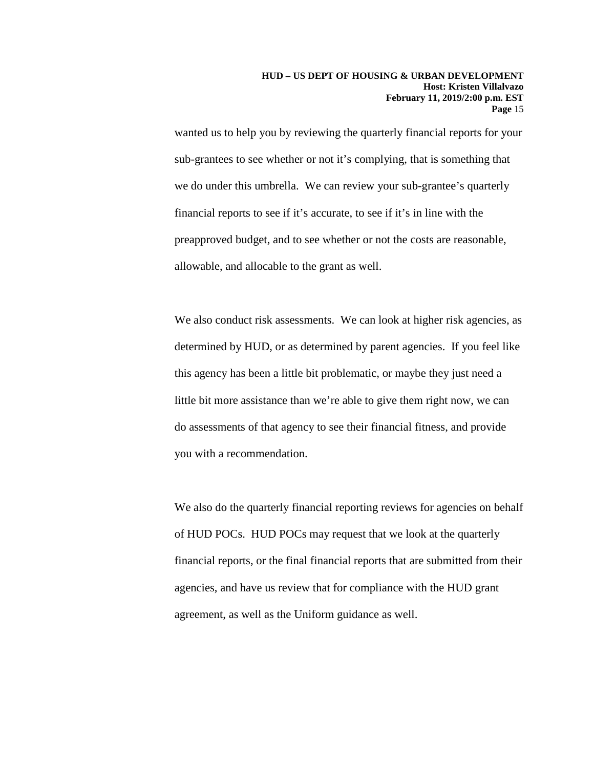wanted us to help you by reviewing the quarterly financial reports for your sub-grantees to see whether or not it's complying, that is something that we do under this umbrella. We can review your sub-grantee's quarterly financial reports to see if it's accurate, to see if it's in line with the preapproved budget, and to see whether or not the costs are reasonable, allowable, and allocable to the grant as well.

We also conduct risk assessments. We can look at higher risk agencies, as determined by HUD, or as determined by parent agencies. If you feel like this agency has been a little bit problematic, or maybe they just need a little bit more assistance than we're able to give them right now, we can do assessments of that agency to see their financial fitness, and provide you with a recommendation.

We also do the quarterly financial reporting reviews for agencies on behalf of HUD POCs. HUD POCs may request that we look at the quarterly financial reports, or the final financial reports that are submitted from their agencies, and have us review that for compliance with the HUD grant agreement, as well as the Uniform guidance as well.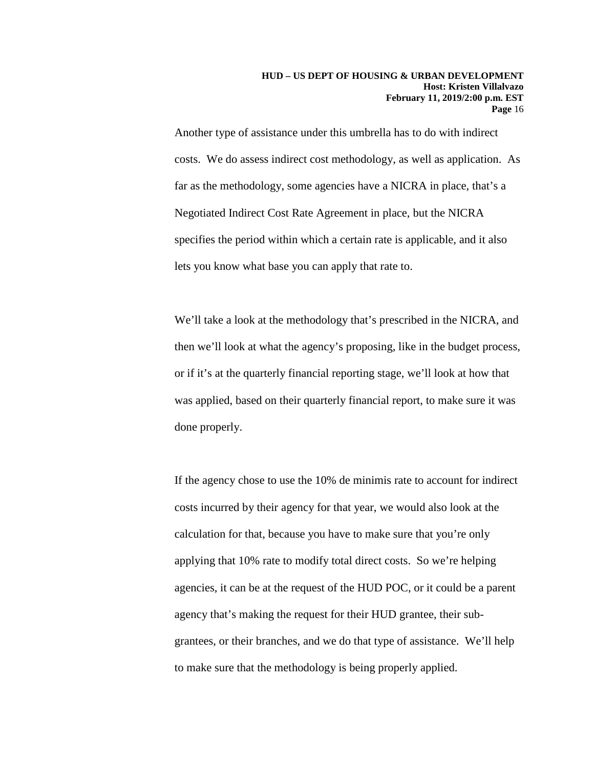Another type of assistance under this umbrella has to do with indirect costs. We do assess indirect cost methodology, as well as application. As far as the methodology, some agencies have a NICRA in place, that's a Negotiated Indirect Cost Rate Agreement in place, but the NICRA specifies the period within which a certain rate is applicable, and it also lets you know what base you can apply that rate to.

We'll take a look at the methodology that's prescribed in the NICRA, and then we'll look at what the agency's proposing, like in the budget process, or if it's at the quarterly financial reporting stage, we'll look at how that was applied, based on their quarterly financial report, to make sure it was done properly.

If the agency chose to use the 10% de minimis rate to account for indirect costs incurred by their agency for that year, we would also look at the calculation for that, because you have to make sure that you're only applying that 10% rate to modify total direct costs. So we're helping agencies, it can be at the request of the HUD POC, or it could be a parent agency that's making the request for their HUD grantee, their subgrantees, or their branches, and we do that type of assistance. We'll help to make sure that the methodology is being properly applied.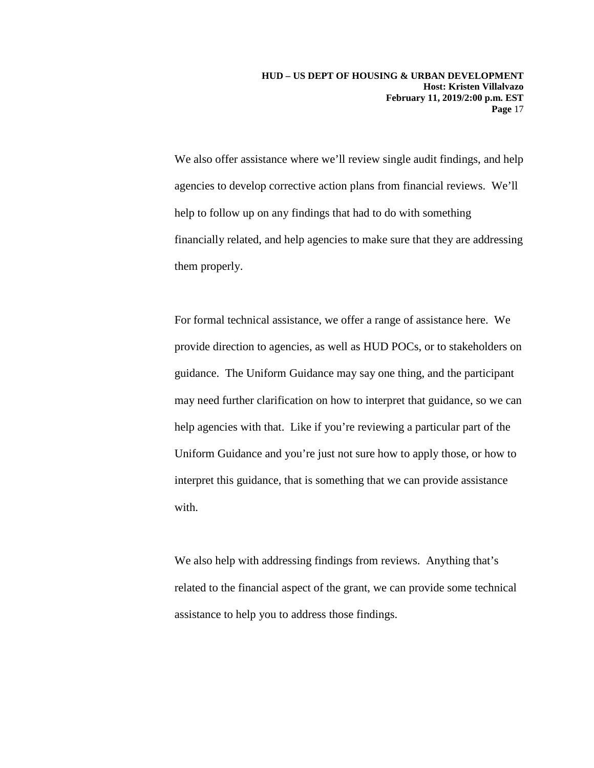We also offer assistance where we'll review single audit findings, and help agencies to develop corrective action plans from financial reviews. We'll help to follow up on any findings that had to do with something financially related, and help agencies to make sure that they are addressing them properly.

For formal technical assistance, we offer a range of assistance here. We provide direction to agencies, as well as HUD POCs, or to stakeholders on guidance. The Uniform Guidance may say one thing, and the participant may need further clarification on how to interpret that guidance, so we can help agencies with that. Like if you're reviewing a particular part of the Uniform Guidance and you're just not sure how to apply those, or how to interpret this guidance, that is something that we can provide assistance with.

We also help with addressing findings from reviews. Anything that's related to the financial aspect of the grant, we can provide some technical assistance to help you to address those findings.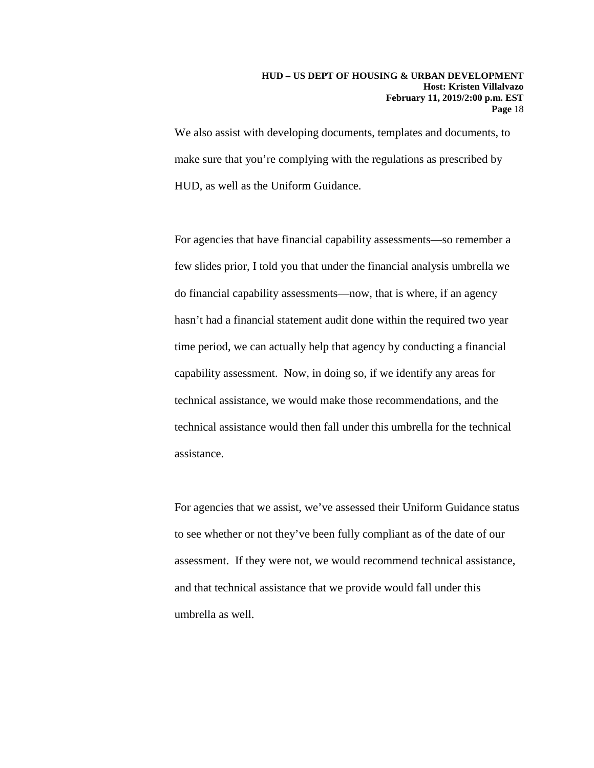We also assist with developing documents, templates and documents, to make sure that you're complying with the regulations as prescribed by HUD, as well as the Uniform Guidance.

For agencies that have financial capability assessments—so remember a few slides prior, I told you that under the financial analysis umbrella we do financial capability assessments—now, that is where, if an agency hasn't had a financial statement audit done within the required two year time period, we can actually help that agency by conducting a financial capability assessment. Now, in doing so, if we identify any areas for technical assistance, we would make those recommendations, and the technical assistance would then fall under this umbrella for the technical assistance.

For agencies that we assist, we've assessed their Uniform Guidance status to see whether or not they've been fully compliant as of the date of our assessment. If they were not, we would recommend technical assistance, and that technical assistance that we provide would fall under this umbrella as well.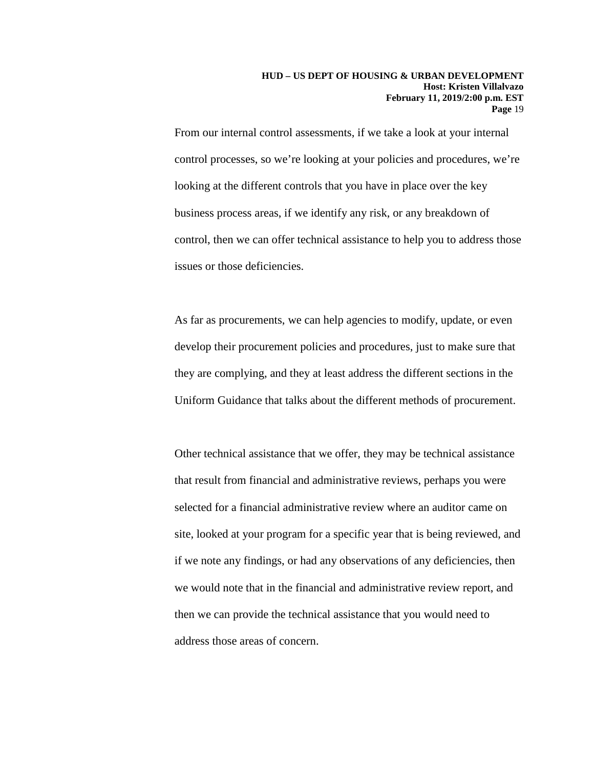From our internal control assessments, if we take a look at your internal control processes, so we're looking at your policies and procedures, we're looking at the different controls that you have in place over the key business process areas, if we identify any risk, or any breakdown of control, then we can offer technical assistance to help you to address those issues or those deficiencies.

As far as procurements, we can help agencies to modify, update, or even develop their procurement policies and procedures, just to make sure that they are complying, and they at least address the different sections in the Uniform Guidance that talks about the different methods of procurement.

Other technical assistance that we offer, they may be technical assistance that result from financial and administrative reviews, perhaps you were selected for a financial administrative review where an auditor came on site, looked at your program for a specific year that is being reviewed, and if we note any findings, or had any observations of any deficiencies, then we would note that in the financial and administrative review report, and then we can provide the technical assistance that you would need to address those areas of concern.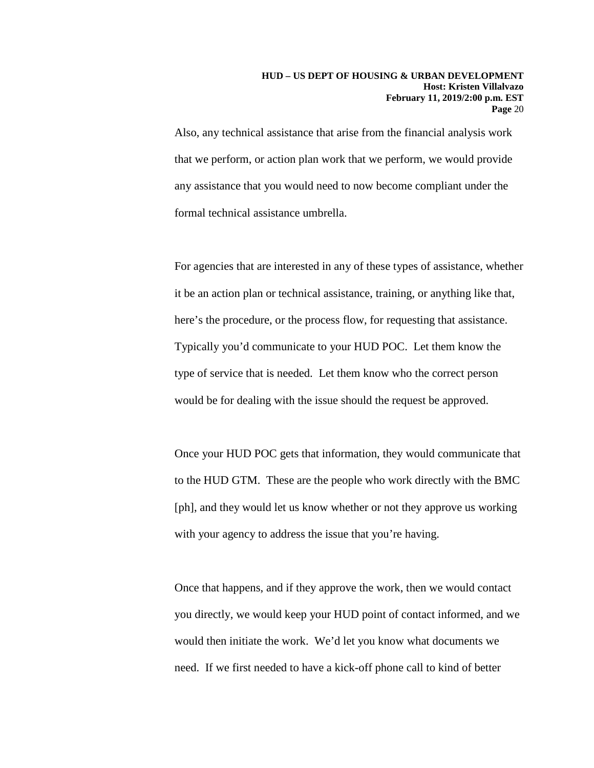Also, any technical assistance that arise from the financial analysis work that we perform, or action plan work that we perform, we would provide any assistance that you would need to now become compliant under the formal technical assistance umbrella.

For agencies that are interested in any of these types of assistance, whether it be an action plan or technical assistance, training, or anything like that, here's the procedure, or the process flow, for requesting that assistance. Typically you'd communicate to your HUD POC. Let them know the type of service that is needed. Let them know who the correct person would be for dealing with the issue should the request be approved.

Once your HUD POC gets that information, they would communicate that to the HUD GTM. These are the people who work directly with the BMC [ph], and they would let us know whether or not they approve us working with your agency to address the issue that you're having.

Once that happens, and if they approve the work, then we would contact you directly, we would keep your HUD point of contact informed, and we would then initiate the work. We'd let you know what documents we need. If we first needed to have a kick-off phone call to kind of better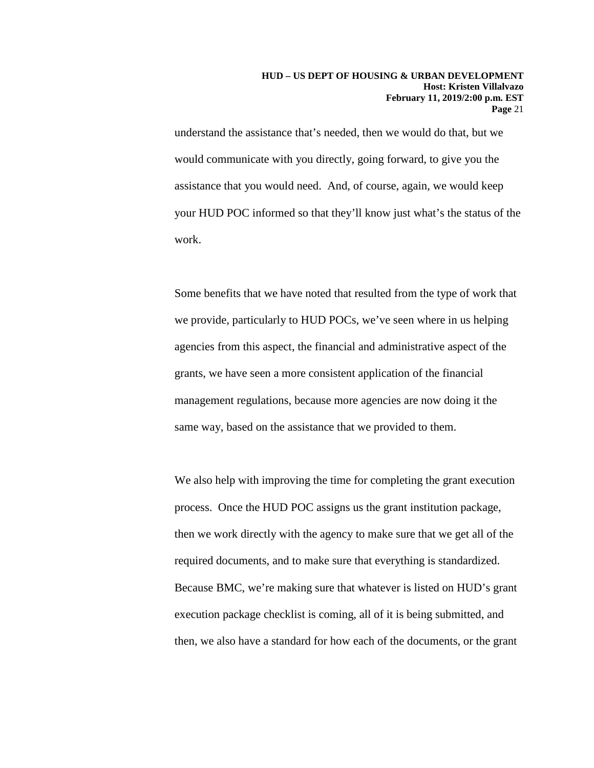understand the assistance that's needed, then we would do that, but we would communicate with you directly, going forward, to give you the assistance that you would need. And, of course, again, we would keep your HUD POC informed so that they'll know just what's the status of the work.

Some benefits that we have noted that resulted from the type of work that we provide, particularly to HUD POCs, we've seen where in us helping agencies from this aspect, the financial and administrative aspect of the grants, we have seen a more consistent application of the financial management regulations, because more agencies are now doing it the same way, based on the assistance that we provided to them.

We also help with improving the time for completing the grant execution process. Once the HUD POC assigns us the grant institution package, then we work directly with the agency to make sure that we get all of the required documents, and to make sure that everything is standardized. Because BMC, we're making sure that whatever is listed on HUD's grant execution package checklist is coming, all of it is being submitted, and then, we also have a standard for how each of the documents, or the grant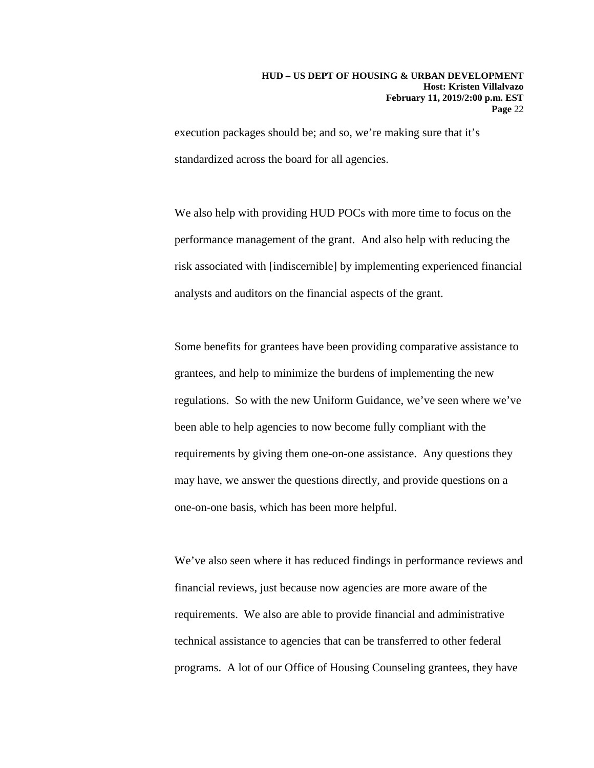execution packages should be; and so, we're making sure that it's standardized across the board for all agencies.

We also help with providing HUD POCs with more time to focus on the performance management of the grant. And also help with reducing the risk associated with [indiscernible] by implementing experienced financial analysts and auditors on the financial aspects of the grant.

Some benefits for grantees have been providing comparative assistance to grantees, and help to minimize the burdens of implementing the new regulations. So with the new Uniform Guidance, we've seen where we've been able to help agencies to now become fully compliant with the requirements by giving them one-on-one assistance. Any questions they may have, we answer the questions directly, and provide questions on a one-on-one basis, which has been more helpful.

We've also seen where it has reduced findings in performance reviews and financial reviews, just because now agencies are more aware of the requirements. We also are able to provide financial and administrative technical assistance to agencies that can be transferred to other federal programs. A lot of our Office of Housing Counseling grantees, they have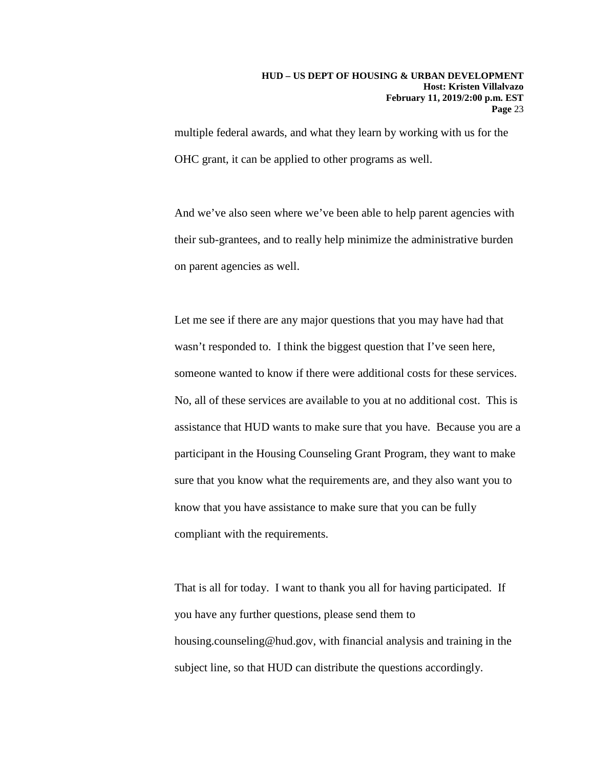multiple federal awards, and what they learn by working with us for the OHC grant, it can be applied to other programs as well.

And we've also seen where we've been able to help parent agencies with their sub-grantees, and to really help minimize the administrative burden on parent agencies as well.

Let me see if there are any major questions that you may have had that wasn't responded to. I think the biggest question that I've seen here, someone wanted to know if there were additional costs for these services. No, all of these services are available to you at no additional cost. This is assistance that HUD wants to make sure that you have. Because you are a participant in the Housing Counseling Grant Program, they want to make sure that you know what the requirements are, and they also want you to know that you have assistance to make sure that you can be fully compliant with the requirements.

That is all for today. I want to thank you all for having participated. If you have any further questions, please send them to housing.counseling@hud.gov, with financial analysis and training in the subject line, so that HUD can distribute the questions accordingly.